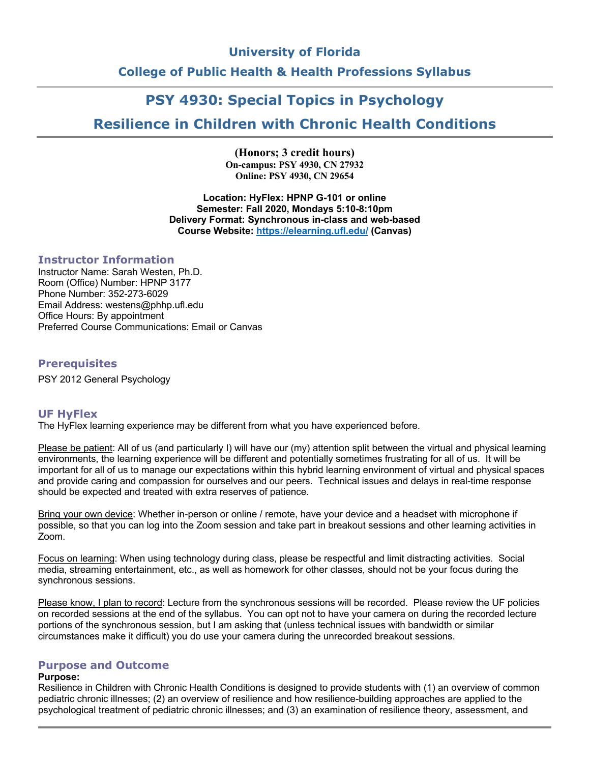# **University of Florida College of Public Health & Health Professions Syllabus**

# **PSY 4930: Special Topics in Psychology**

# **Resilience in Children with Chronic Health Conditions**

**(Honors; 3 credit hours) On-campus: PSY 4930, CN 27932 Online: PSY 4930, CN 29654**

**Location: HyFlex: HPNP G-101 or online Semester: Fall 2020, Mondays 5:10-8:10pm Delivery Format: Synchronous in-class and web-based Course Website: https://elearning.ufl.edu/ (Canvas)**

# **Instructor Information**

Instructor Name: Sarah Westen, Ph.D. Room (Office) Number: HPNP 3177 Phone Number: 352-273-6029 Email Address: westens@phhp.ufl.edu Office Hours: By appointment Preferred Course Communications: Email or Canvas

# **Prerequisites**

PSY 2012 General Psychology

# **UF HyFlex**

The HyFlex learning experience may be different from what you have experienced before.

Please be patient: All of us (and particularly I) will have our (my) attention split between the virtual and physical learning environments, the learning experience will be different and potentially sometimes frustrating for all of us. It will be important for all of us to manage our expectations within this hybrid learning environment of virtual and physical spaces and provide caring and compassion for ourselves and our peers. Technical issues and delays in real-time response should be expected and treated with extra reserves of patience.

Bring your own device: Whether in-person or online / remote, have your device and a headset with microphone if possible, so that you can log into the Zoom session and take part in breakout sessions and other learning activities in Zoom.

Focus on learning: When using technology during class, please be respectful and limit distracting activities. Social media, streaming entertainment, etc., as well as homework for other classes, should not be your focus during the synchronous sessions.

Please know, I plan to record: Lecture from the synchronous sessions will be recorded. Please review the UF policies on recorded sessions at the end of the syllabus. You can opt not to have your camera on during the recorded lecture portions of the synchronous session, but I am asking that (unless technical issues with bandwidth or similar circumstances make it difficult) you do use your camera during the unrecorded breakout sessions.

### **Purpose and Outcome**

### **Purpose:**

Resilience in Children with Chronic Health Conditions is designed to provide students with (1) an overview of common pediatric chronic illnesses; (2) an overview of resilience and how resilience-building approaches are applied to the psychological treatment of pediatric chronic illnesses; and (3) an examination of resilience theory, assessment, and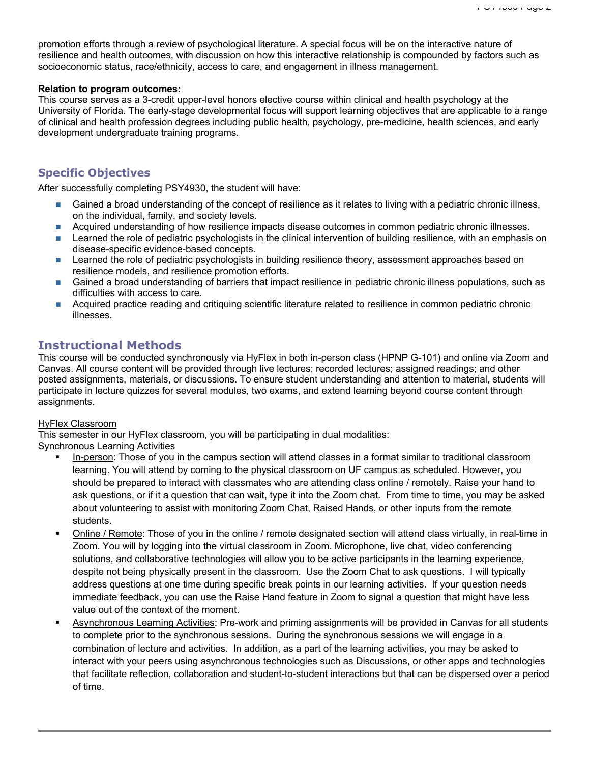promotion efforts through a review of psychological literature. A special focus will be on the interactive nature of resilience and health outcomes, with discussion on how this interactive relationship is compounded by factors such as socioeconomic status, race/ethnicity, access to care, and engagement in illness management.

### **Relation to program outcomes:**

This course serves as a 3-credit upper-level honors elective course within clinical and health psychology at the University of Florida. The early-stage developmental focus will support learning objectives that are applicable to a range of clinical and health profession degrees including public health, psychology, pre-medicine, health sciences, and early development undergraduate training programs.

# **Specific Objectives**

After successfully completing PSY4930, the student will have:

- n Gained a broad understanding of the concept of resilience as it relates to living with a pediatric chronic illness, on the individual, family, and society levels.
- **n** Acquired understanding of how resilience impacts disease outcomes in common pediatric chronic illnesses.
- n Learned the role of pediatric psychologists in the clinical intervention of building resilience, with an emphasis on disease-specific evidence-based concepts.
- **n** Learned the role of pediatric psychologists in building resilience theory, assessment approaches based on resilience models, and resilience promotion efforts.
- n Gained a broad understanding of barriers that impact resilience in pediatric chronic illness populations, such as difficulties with access to care.
- n Acquired practice reading and critiquing scientific literature related to resilience in common pediatric chronic illnesses.

# **Instructional Methods**

This course will be conducted synchronously via HyFlex in both in-person class (HPNP G-101) and online via Zoom and Canvas. All course content will be provided through live lectures; recorded lectures; assigned readings; and other posted assignments, materials, or discussions. To ensure student understanding and attention to material, students will participate in lecture quizzes for several modules, two exams, and extend learning beyond course content through assignments.

### HyFlex Classroom

This semester in our HyFlex classroom, you will be participating in dual modalities:

Synchronous Learning Activities

- In-person: Those of you in the campus section will attend classes in a format similar to traditional classroom learning. You will attend by coming to the physical classroom on UF campus as scheduled. However, you should be prepared to interact with classmates who are attending class online / remotely. Raise your hand to ask questions, or if it a question that can wait, type it into the Zoom chat. From time to time, you may be asked about volunteering to assist with monitoring Zoom Chat, Raised Hands, or other inputs from the remote students.
- § Online / Remote: Those of you in the online / remote designated section will attend class virtually, in real-time in Zoom. You will by logging into the virtual classroom in Zoom. Microphone, live chat, video conferencing solutions, and collaborative technologies will allow you to be active participants in the learning experience, despite not being physically present in the classroom. Use the Zoom Chat to ask questions. I will typically address questions at one time during specific break points in our learning activities. If your question needs immediate feedback, you can use the Raise Hand feature in Zoom to signal a question that might have less value out of the context of the moment.
- § Asynchronous Learning Activities: Pre-work and priming assignments will be provided in Canvas for all students to complete prior to the synchronous sessions. During the synchronous sessions we will engage in a combination of lecture and activities. In addition, as a part of the learning activities, you may be asked to interact with your peers using asynchronous technologies such as Discussions, or other apps and technologies that facilitate reflection, collaboration and student-to-student interactions but that can be dispersed over a period of time.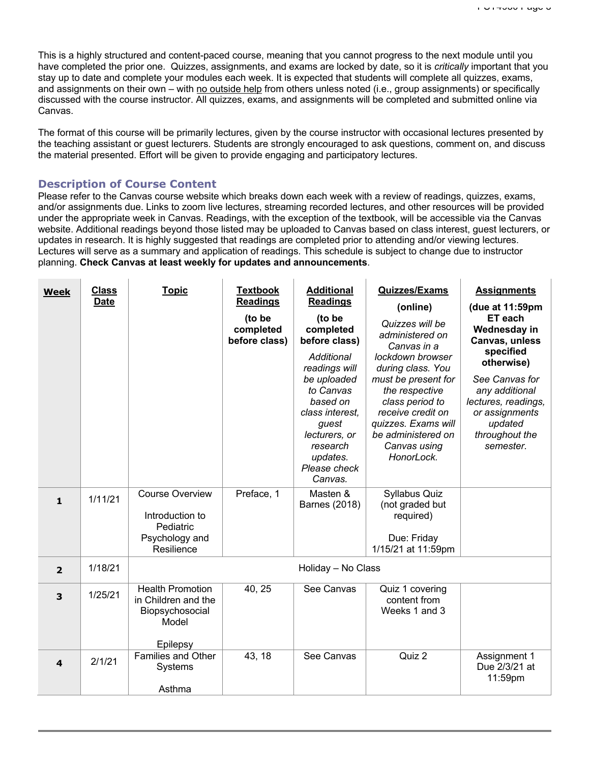This is a highly structured and content-paced course, meaning that you cannot progress to the next module until you have completed the prior one. Quizzes, assignments, and exams are locked by date, so it is *critically* important that you stay up to date and complete your modules each week. It is expected that students will complete all quizzes, exams, and assignments on their own – with no outside help from others unless noted (i.e., group assignments) or specifically discussed with the course instructor. All quizzes, exams, and assignments will be completed and submitted online via Canvas.

The format of this course will be primarily lectures, given by the course instructor with occasional lectures presented by the teaching assistant or guest lecturers. Students are strongly encouraged to ask questions, comment on, and discuss the material presented. Effort will be given to provide engaging and participatory lectures.

### **Description of Course Content**

Please refer to the Canvas course website which breaks down each week with a review of readings, quizzes, exams, and/or assignments due. Links to zoom live lectures, streaming recorded lectures, and other resources will be provided under the appropriate week in Canvas. Readings, with the exception of the textbook, will be accessible via the Canvas website. Additional readings beyond those listed may be uploaded to Canvas based on class interest, guest lecturers, or updates in research. It is highly suggested that readings are completed prior to attending and/or viewing lectures. Lectures will serve as a summary and application of readings. This schedule is subject to change due to instructor planning. **Check Canvas at least weekly for updates and announcements**.

| <b>Week</b>    | <b>Class</b><br><b>Date</b> | <b>Topic</b>                                                                           | <b>Textbook</b><br><b>Readings</b><br>(to be<br>completed<br>before class) | <b>Additional</b><br><b>Readings</b><br>(to be<br>completed<br>before class)<br>Additional<br>readings will<br>be uploaded<br>to Canvas<br>based on<br>class interest,<br>guest<br>lecturers, or<br>research<br>updates.<br>Please check<br>Canvas. | <b>Quizzes/Exams</b><br>(online)<br>Quizzes will be<br>administered on<br>Canvas in a<br>lockdown browser<br>during class. You<br>must be present for<br>the respective<br>class period to<br>receive credit on<br>quizzes. Exams will<br>be administered on<br>Canvas using<br>HonorLock. | <b>Assignments</b><br>(due at 11:59pm<br>ET each<br>Wednesday in<br>Canvas, unless<br>specified<br>otherwise)<br>See Canvas for<br>any additional<br>lectures, readings,<br>or assignments<br>updated<br>throughout the<br>semester. |
|----------------|-----------------------------|----------------------------------------------------------------------------------------|----------------------------------------------------------------------------|-----------------------------------------------------------------------------------------------------------------------------------------------------------------------------------------------------------------------------------------------------|--------------------------------------------------------------------------------------------------------------------------------------------------------------------------------------------------------------------------------------------------------------------------------------------|--------------------------------------------------------------------------------------------------------------------------------------------------------------------------------------------------------------------------------------|
| $\mathbf{1}$   | 1/11/21                     | <b>Course Overview</b><br>Introduction to<br>Pediatric<br>Psychology and<br>Resilience | Preface, 1                                                                 | Masten &<br>Barnes (2018)                                                                                                                                                                                                                           | Syllabus Quiz<br>(not graded but<br>required)<br>Due: Friday<br>1/15/21 at 11:59pm                                                                                                                                                                                                         |                                                                                                                                                                                                                                      |
| $\overline{2}$ | 1/18/21                     |                                                                                        |                                                                            | Holiday - No Class                                                                                                                                                                                                                                  |                                                                                                                                                                                                                                                                                            |                                                                                                                                                                                                                                      |
| 3              | 1/25/21                     | <b>Health Promotion</b><br>in Children and the<br>Biopsychosocial<br>Model<br>Epilepsy | 40, 25                                                                     | See Canvas                                                                                                                                                                                                                                          | Quiz 1 covering<br>content from<br>Weeks 1 and 3                                                                                                                                                                                                                                           |                                                                                                                                                                                                                                      |
| 4              | 2/1/21                      | Families and Other<br><b>Systems</b><br>Asthma                                         | 43, 18                                                                     | See Canvas                                                                                                                                                                                                                                          | Quiz $2$                                                                                                                                                                                                                                                                                   | Assignment 1<br>Due 2/3/21 at<br>11:59pm                                                                                                                                                                                             |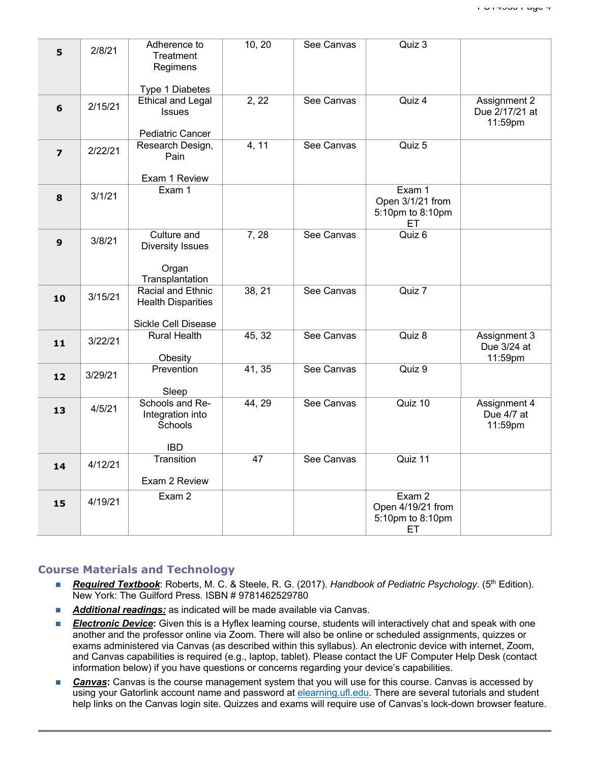| 5                | 2/8/21  | Adherence to<br>Treatment<br>Regimens                  | 10, 20 | See Canvas | Quiz 3                                                |                                           |
|------------------|---------|--------------------------------------------------------|--------|------------|-------------------------------------------------------|-------------------------------------------|
|                  |         | Type 1 Diabetes                                        |        |            |                                                       |                                           |
| $6\phantom{1}$   | 2/15/21 | <b>Ethical and Legal</b><br>Issues<br>Pediatric Cancer | 2, 22  | See Canvas | Quiz 4                                                | Assignment 2<br>Due 2/17/21 at<br>11:59pm |
|                  |         | Research Design,                                       | 4, 11  | See Canvas | Quiz 5                                                |                                           |
| $\overline{z}$   | 2/22/21 | Pain                                                   |        |            |                                                       |                                           |
|                  |         | Exam 1 Review                                          |        |            |                                                       |                                           |
| 8                | 3/1/21  | Exam 1                                                 |        |            | Exam 1<br>Open 3/1/21 from<br>5:10pm to 8:10pm<br>ET. |                                           |
| $\boldsymbol{9}$ | 3/8/21  | Culture and<br>Diversity Issues<br>Organ               | 7, 28  | See Canvas | Quiz 6                                                |                                           |
|                  |         | Transplantation                                        |        |            |                                                       |                                           |
| 10               | 3/15/21 | Racial and Ethnic<br><b>Health Disparities</b>         | 38, 21 | See Canvas | Quiz 7                                                |                                           |
|                  |         | Sickle Cell Disease                                    |        |            |                                                       |                                           |
| 11               | 3/22/21 | <b>Rural Health</b><br>Obesity                         | 45, 32 | See Canvas | Quiz $\overline{8}$                                   | Assignment 3<br>Due 3/24 at<br>11:59pm    |
| 12               | 3/29/21 | Prevention<br>Sleep                                    | 41, 35 | See Canvas | Quiz 9                                                |                                           |
| 13               | 4/5/21  | Schools and Re-<br>Integration into<br>Schools         | 44, 29 | See Canvas | Quiz 10                                               | Assignment 4<br>Due 4/7 at<br>11:59pm     |
|                  |         | <b>IBD</b>                                             |        |            |                                                       |                                           |
| 14               | 4/12/21 | <b>Transition</b>                                      | 47     | See Canvas | Quiz 11                                               |                                           |
|                  |         | Exam 2 Review                                          |        |            |                                                       |                                           |
| 15               | 4/19/21 | Exam 2                                                 |        |            | Exam 2<br>Open 4/19/21 from<br>5:10pm to 8:10pm<br>ET |                                           |

### **Course Materials and Technology**

- *Required Textbook*: Roberts, M. C. & Steele, R. G. (2017). *Handbook of Pediatric Psychology*. (5<sup>th</sup> Edition). New York: The Guilford Press. ISBN # 9781462529780
- **Additional readings:** as indicated will be made available via Canvas.
- **Electronic Device:** Given this is a Hyflex learning course, students will interactively chat and speak with one another and the professor online via Zoom. There will also be online or scheduled assignments, quizzes or exams administered via Canvas (as described within this syllabus). An electronic device with internet, Zoom, and Canvas capabilities is required (e.g., laptop, tablet). Please contact the UF Computer Help Desk (contact information below) if you have questions or concerns regarding your device's capabilities.
- **Canvas:** Canvas is the course management system that you will use for this course. Canvas is accessed by using your Gatorlink account name and password at elearning.ufl.edu. There are several tutorials and student help links on the Canvas login site. Quizzes and exams will require use of Canvas's lock-down browser feature.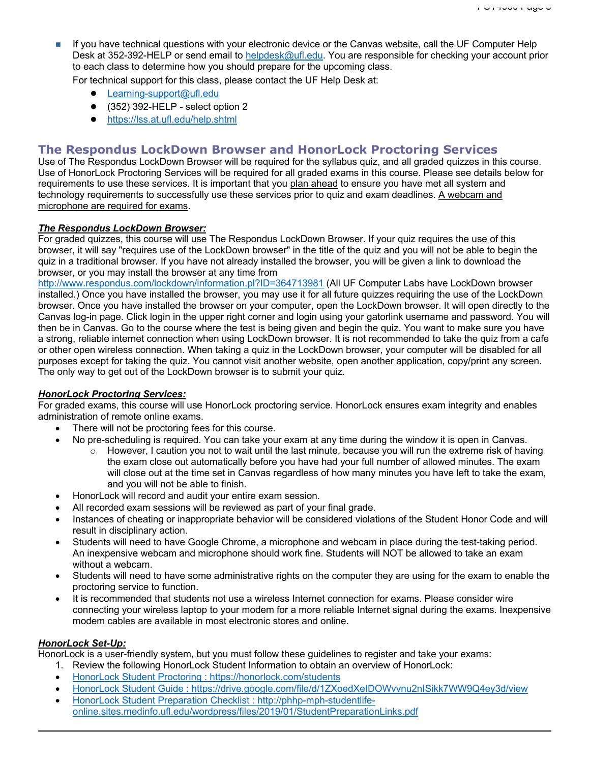n If you have technical questions with your electronic device or the Canvas website, call the UF Computer Help Desk at 352-392-HELP or send email to helpdesk@ufl.edu. You are responsible for checking your account prior to each class to determine how you should prepare for the upcoming class.

For technical support for this class, please contact the UF Help Desk at:

- Learning-support@ufl.edu
- $\bullet$  (352) 392-HELP select option 2
- https://lss.at.ufl.edu/help.shtml

# **The Respondus LockDown Browser and HonorLock Proctoring Services**

Use of The Respondus LockDown Browser will be required for the syllabus quiz, and all graded quizzes in this course. Use of HonorLock Proctoring Services will be required for all graded exams in this course. Please see details below for requirements to use these services. It is important that you plan ahead to ensure you have met all system and technology requirements to successfully use these services prior to quiz and exam deadlines. A webcam and microphone are required for exams.

### *The Respondus LockDown Browser:*

For graded quizzes, this course will use The Respondus LockDown Browser. If your quiz requires the use of this browser, it will say "requires use of the LockDown browser" in the title of the quiz and you will not be able to begin the quiz in a traditional browser. If you have not already installed the browser, you will be given a link to download the browser, or you may install the browser at any time from

http://www.respondus.com/lockdown/information.pl?ID=364713981 (All UF Computer Labs have LockDown browser installed.) Once you have installed the browser, you may use it for all future quizzes requiring the use of the LockDown browser. Once you have installed the browser on your computer, open the LockDown browser. It will open directly to the Canvas log-in page. Click login in the upper right corner and login using your gatorlink username and password. You will then be in Canvas. Go to the course where the test is being given and begin the quiz. You want to make sure you have a strong, reliable internet connection when using LockDown browser. It is not recommended to take the quiz from a cafe or other open wireless connection. When taking a quiz in the LockDown browser, your computer will be disabled for all purposes except for taking the quiz. You cannot visit another website, open another application, copy/print any screen. The only way to get out of the LockDown browser is to submit your quiz.

### *HonorLock Proctoring Services:*

For graded exams, this course will use HonorLock proctoring service. HonorLock ensures exam integrity and enables administration of remote online exams.

- There will not be proctoring fees for this course.
	- No pre-scheduling is required. You can take your exam at any time during the window it is open in Canvas.
		- $\circ$  However, I caution you not to wait until the last minute, because you will run the extreme risk of having the exam close out automatically before you have had your full number of allowed minutes. The exam will close out at the time set in Canvas regardless of how many minutes you have left to take the exam, and you will not be able to finish.
- HonorLock will record and audit your entire exam session.
- All recorded exam sessions will be reviewed as part of your final grade.
- Instances of cheating or inappropriate behavior will be considered violations of the Student Honor Code and will result in disciplinary action.
- Students will need to have Google Chrome, a microphone and webcam in place during the test-taking period. An inexpensive webcam and microphone should work fine. Students will NOT be allowed to take an exam without a webcam.
- Students will need to have some administrative rights on the computer they are using for the exam to enable the proctoring service to function.
- It is recommended that students not use a wireless Internet connection for exams. Please consider wire connecting your wireless laptop to your modem for a more reliable Internet signal during the exams. Inexpensive modem cables are available in most electronic stores and online.

### *HonorLock Set-Up:*

HonorLock is a user-friendly system, but you must follow these guidelines to register and take your exams:

- 1. Review the following HonorLock Student Information to obtain an overview of HonorLock:
- HonorLock Student Proctoring : https://honorlock.com/students
- HonorLock Student Guide : https://drive.google.com/file/d/1ZXoedXeIDOWvvnu2nISikk7WW9Q4ey3d/view
- HonorLock Student Preparation Checklist : http://phhp-mph-studentlifeonline.sites.medinfo.ufl.edu/wordpress/files/2019/01/StudentPreparationLinks.pdf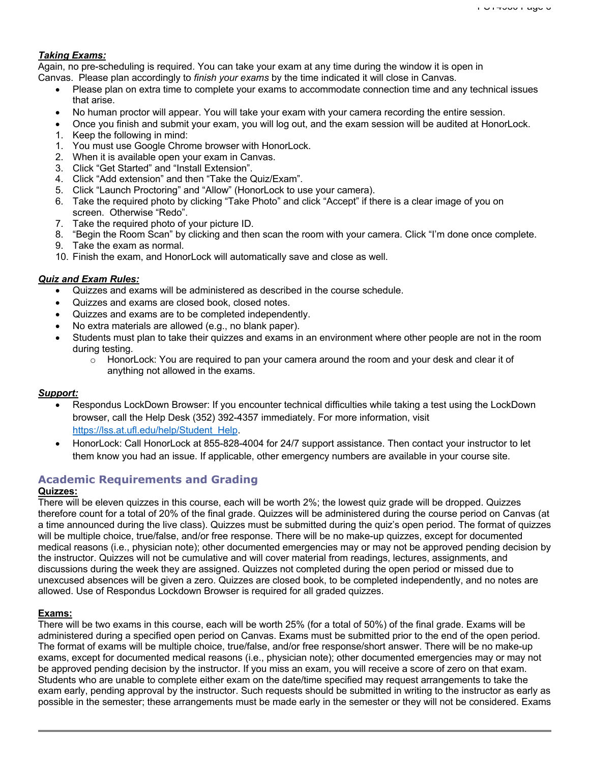### *Taking Exams:*

Again, no pre-scheduling is required. You can take your exam at any time during the window it is open in Canvas. Please plan accordingly to *finish your exams* by the time indicated it will close in Canvas.

- Please plan on extra time to complete your exams to accommodate connection time and any technical issues that arise.
- No human proctor will appear. You will take your exam with your camera recording the entire session.
- Once you finish and submit your exam, you will log out, and the exam session will be audited at HonorLock.
- 1. Keep the following in mind:
- 1. You must use Google Chrome browser with HonorLock.
- 2. When it is available open your exam in Canvas.
- 3. Click "Get Started" and "Install Extension".
- 4. Click "Add extension" and then "Take the Quiz/Exam".
- 5. Click "Launch Proctoring" and "Allow" (HonorLock to use your camera).
- 6. Take the required photo by clicking "Take Photo" and click "Accept" if there is a clear image of you on screen. Otherwise "Redo".
- 7. Take the required photo of your picture ID.
- 8. "Begin the Room Scan" by clicking and then scan the room with your camera. Click "I'm done once complete.
- 9. Take the exam as normal.
- 10. Finish the exam, and HonorLock will automatically save and close as well.

### *Quiz and Exam Rules:*

- Quizzes and exams will be administered as described in the course schedule.
- Quizzes and exams are closed book, closed notes.
- Quizzes and exams are to be completed independently.
- No extra materials are allowed (e.g., no blank paper).
- Students must plan to take their quizzes and exams in an environment where other people are not in the room during testing.
	- o HonorLock: You are required to pan your camera around the room and your desk and clear it of anything not allowed in the exams.

### *Support:*

- Respondus LockDown Browser: If you encounter technical difficulties while taking a test using the LockDown browser, call the Help Desk (352) 392-4357 immediately. For more information, visit https://lss.at.ufl.edu/help/Student\_Help.
- HonorLock: Call HonorLock at 855-828-4004 for 24/7 support assistance. Then contact your instructor to let them know you had an issue. If applicable, other emergency numbers are available in your course site.

# **Academic Requirements and Grading**

# **Quizzes:**

There will be eleven quizzes in this course, each will be worth 2%; the lowest quiz grade will be dropped. Quizzes therefore count for a total of 20% of the final grade. Quizzes will be administered during the course period on Canvas (at a time announced during the live class). Quizzes must be submitted during the quiz's open period. The format of quizzes will be multiple choice, true/false, and/or free response. There will be no make-up quizzes, except for documented medical reasons (i.e., physician note); other documented emergencies may or may not be approved pending decision by the instructor. Quizzes will not be cumulative and will cover material from readings, lectures, assignments, and discussions during the week they are assigned. Quizzes not completed during the open period or missed due to unexcused absences will be given a zero. Quizzes are closed book, to be completed independently, and no notes are allowed. Use of Respondus Lockdown Browser is required for all graded quizzes.

### **Exams:**

There will be two exams in this course, each will be worth 25% (for a total of 50%) of the final grade. Exams will be administered during a specified open period on Canvas. Exams must be submitted prior to the end of the open period. The format of exams will be multiple choice, true/false, and/or free response/short answer. There will be no make-up exams, except for documented medical reasons (i.e., physician note); other documented emergencies may or may not be approved pending decision by the instructor. If you miss an exam, you will receive a score of zero on that exam. Students who are unable to complete either exam on the date/time specified may request arrangements to take the exam early, pending approval by the instructor. Such requests should be submitted in writing to the instructor as early as possible in the semester; these arrangements must be made early in the semester or they will not be considered. Exams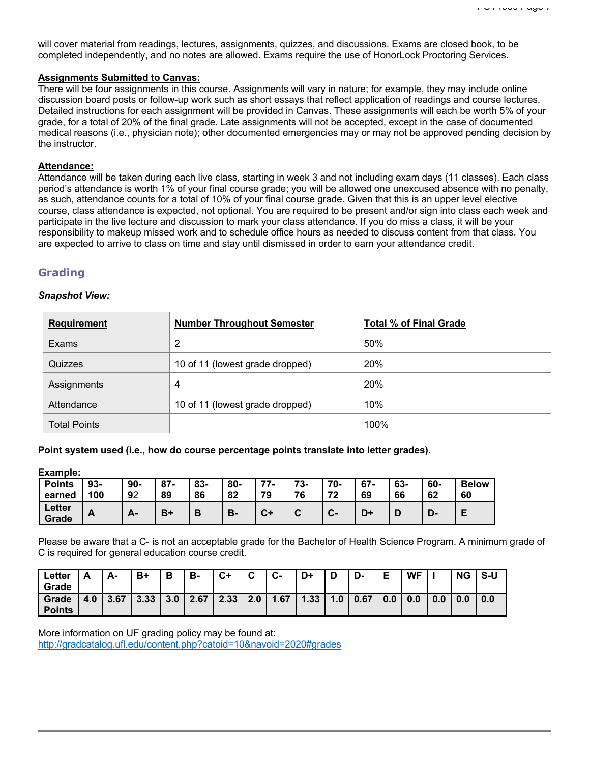will cover material from readings, lectures, assignments, quizzes, and discussions. Exams are closed book, to be completed independently, and no notes are allowed. Exams require the use of HonorLock Proctoring Services.

#### **Assignments Submitted to Canvas:**

There will be four assignments in this course. Assignments will vary in nature; for example, they may include online discussion board posts or follow-up work such as short essays that reflect application of readings and course lectures. Detailed instructions for each assignment will be provided in Canvas. These assignments will each be worth 5% of your grade, for a total of 20% of the final grade. Late assignments will not be accepted, except in the case of documented medical reasons (i.e., physician note); other documented emergencies may or may not be approved pending decision by the instructor.

### **Attendance:**

Attendance will be taken during each live class, starting in week 3 and not including exam days (11 classes). Each class period's attendance is worth 1% of your final course grade; you will be allowed one unexcused absence with no penalty, as such, attendance counts for a total of 10% of your final course grade. Given that this is an upper level elective course, class attendance is expected, not optional. You are required to be present and/or sign into class each week and participate in the live lecture and discussion to mark your class attendance. If you do miss a class, it will be your responsibility to makeup missed work and to schedule office hours as needed to discuss content from that class. You are expected to arrive to class on time and stay until dismissed in order to earn your attendance credit.

## **Grading**

#### *Snapshot View:*

| <b>Requirement</b>  | <b>Number Throughout Semester</b> | <b>Total % of Final Grade</b> |
|---------------------|-----------------------------------|-------------------------------|
| Exams               | 2                                 | 50%                           |
| Quizzes             | 10 of 11 (lowest grade dropped)   | 20%                           |
| Assignments         | 4                                 | 20%                           |
| Attendance          | 10 of 11 (lowest grade dropped)   | 10%                           |
| <b>Total Points</b> |                                   | 100%                          |

#### **Point system used (i.e., how do course percentage points translate into letter grades).**

**Example:**

| <b>Points</b><br>earned | $93-$<br>100 | $90-$<br>92    | $87 -$<br>89 | 83-<br>86 | 80-<br>82 | 77<br>79 | 72<br>ა-<br>76 | 70-<br>72           | $67 -$<br>69 | 63-<br>66 | 60-<br>62 | <b>Below</b><br>60 |
|-------------------------|--------------|----------------|--------------|-----------|-----------|----------|----------------|---------------------|--------------|-----------|-----------|--------------------|
| <b>Letter</b><br>Grade  | A            | $\blacksquare$ | В+           | D         | D.        | C+       | v              | $\sim$<br><u>v-</u> | D+           |           | D.        |                    |

Please be aware that a C- is not an acceptable grade for the Bachelor of Health Science Program. A minimum grade of C is required for general education course credit.

| Letter        | л   | Δ.   | B+   | Ð<br>о | в-   | $C+$ | $\sim$<br>v | $\sim$<br>ს- | D+   |     | D-   |     | <b>WF</b> |     | <b>NG</b> | S-U |
|---------------|-----|------|------|--------|------|------|-------------|--------------|------|-----|------|-----|-----------|-----|-----------|-----|
| Grade         |     |      |      |        |      |      |             |              |      |     |      |     |           |     |           |     |
| Grade         | 4.0 | 3.67 | 3.33 | 3.0    | 2.67 | 2.33 | 2.0         | 1.67         | 1.33 | 1.0 | 0.67 | 0.0 | 0.0       | 0.0 | 0.0       | 0.0 |
| <b>Points</b> |     |      |      |        |      |      |             |              |      |     |      |     |           |     |           |     |

More information on UF grading policy may be found at: http://gradcatalog.ufl.edu/content.php?catoid=10&navoid=2020#grades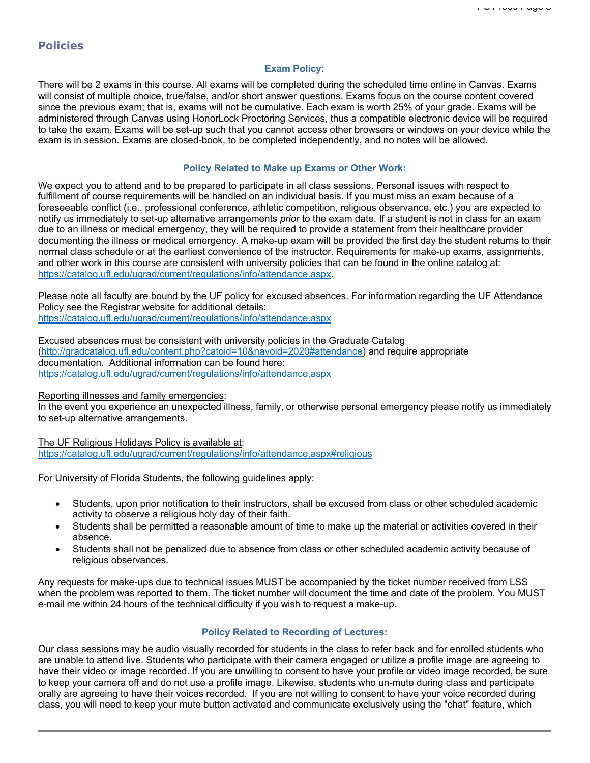# **Policies**

#### **Exam Policy:**

There will be 2 exams in this course. All exams will be completed during the scheduled time online in Canvas. Exams will consist of multiple choice, true/false, and/or short answer questions. Exams focus on the course content covered since the previous exam; that is, exams will not be cumulative. Each exam is worth 25% of your grade. Exams will be administered through Canvas using HonorLock Proctoring Services, thus a compatible electronic device will be required to take the exam. Exams will be set-up such that you cannot access other browsers or windows on your device while the exam is in session. Exams are closed-book, to be completed independently, and no notes will be allowed.

#### **Policy Related to Make up Exams or Other Work:**

We expect you to attend and to be prepared to participate in all class sessions. Personal issues with respect to fulfillment of course requirements will be handled on an individual basis. If you must miss an exam because of a foreseeable conflict (i.e., professional conference, athletic competition, religious observance, etc.) you are expected to notify us immediately to set-up alternative arrangements *prior* to the exam date. If a student is not in class for an exam due to an illness or medical emergency, they will be required to provide a statement from their healthcare provider documenting the illness or medical emergency. A make-up exam will be provided the first day the student returns to their normal class schedule or at the earliest convenience of the instructor. Requirements for make-up exams, assignments, and other work in this course are consistent with university policies that can be found in the online catalog at: https://catalog.ufl.edu/ugrad/current/regulations/info/attendance.aspx.

Please note all faculty are bound by the UF policy for excused absences. For information regarding the UF Attendance Policy see the Registrar website for additional details: https://catalog.ufl.edu/ugrad/current/regulations/info/attendance.aspx

Excused absences must be consistent with university policies in the Graduate Catalog (http://gradcatalog.ufl.edu/content.php?catoid=10&navoid=2020#attendance) and require appropriate documentation. Additional information can be found here: https://catalog.ufl.edu/ugrad/current/regulations/info/attendance.aspx

Reporting illnesses and family emergencies:

In the event you experience an unexpected illness, family, or otherwise personal emergency please notify us immediately to set-up alternative arrangements.

The UF Religious Holidays Policy is available at: https://catalog.ufl.edu/ugrad/current/regulations/info/attendance.aspx#religious

For University of Florida Students, the following guidelines apply:

- Students, upon prior notification to their instructors, shall be excused from class or other scheduled academic activity to observe a religious holy day of their faith.
- Students shall be permitted a reasonable amount of time to make up the material or activities covered in their absence.
- Students shall not be penalized due to absence from class or other scheduled academic activity because of religious observances.

Any requests for make-ups due to technical issues MUST be accompanied by the ticket number received from LSS when the problem was reported to them. The ticket number will document the time and date of the problem. You MUST e-mail me within 24 hours of the technical difficulty if you wish to request a make-up.

### **Policy Related to Recording of Lectures:**

Our class sessions may be audio visually recorded for students in the class to refer back and for enrolled students who are unable to attend live. Students who participate with their camera engaged or utilize a profile image are agreeing to have their video or image recorded. If you are unwilling to consent to have your profile or video image recorded, be sure to keep your camera off and do not use a profile image. Likewise, students who un-mute during class and participate orally are agreeing to have their voices recorded. If you are not willing to consent to have your voice recorded during class, you will need to keep your mute button activated and communicate exclusively using the "chat" feature, which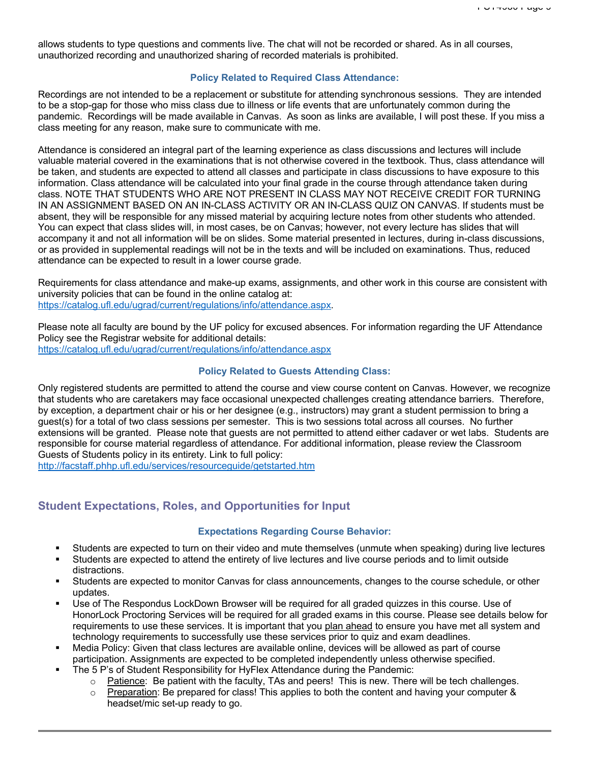allows students to type questions and comments live. The chat will not be recorded or shared. As in all courses, unauthorized recording and unauthorized sharing of recorded materials is prohibited.

### **Policy Related to Required Class Attendance:**

Recordings are not intended to be a replacement or substitute for attending synchronous sessions. They are intended to be a stop-gap for those who miss class due to illness or life events that are unfortunately common during the pandemic. Recordings will be made available in Canvas. As soon as links are available, I will post these. If you miss a class meeting for any reason, make sure to communicate with me.

Attendance is considered an integral part of the learning experience as class discussions and lectures will include valuable material covered in the examinations that is not otherwise covered in the textbook. Thus, class attendance will be taken, and students are expected to attend all classes and participate in class discussions to have exposure to this information. Class attendance will be calculated into your final grade in the course through attendance taken during class. NOTE THAT STUDENTS WHO ARE NOT PRESENT IN CLASS MAY NOT RECEIVE CREDIT FOR TURNING IN AN ASSIGNMENT BASED ON AN IN-CLASS ACTIVITY OR AN IN-CLASS QUIZ ON CANVAS. If students must be absent, they will be responsible for any missed material by acquiring lecture notes from other students who attended. You can expect that class slides will, in most cases, be on Canvas; however, not every lecture has slides that will accompany it and not all information will be on slides. Some material presented in lectures, during in-class discussions, or as provided in supplemental readings will not be in the texts and will be included on examinations. Thus, reduced attendance can be expected to result in a lower course grade.

Requirements for class attendance and make-up exams, assignments, and other work in this course are consistent with university policies that can be found in the online catalog at: https://catalog.ufl.edu/ugrad/current/regulations/info/attendance.aspx.

Please note all faculty are bound by the UF policy for excused absences. For information regarding the UF Attendance Policy see the Registrar website for additional details: https://catalog.ufl.edu/ugrad/current/regulations/info/attendance.aspx

### **Policy Related to Guests Attending Class:**

Only registered students are permitted to attend the course and view course content on Canvas. However, we recognize that students who are caretakers may face occasional unexpected challenges creating attendance barriers. Therefore, by exception, a department chair or his or her designee (e.g., instructors) may grant a student permission to bring a guest(s) for a total of two class sessions per semester. This is two sessions total across all courses. No further extensions will be granted. Please note that guests are not permitted to attend either cadaver or wet labs. Students are responsible for course material regardless of attendance. For additional information, please review the Classroom Guests of Students policy in its entirety. Link to full policy:

http://facstaff.phhp.ufl.edu/services/resourceguide/getstarted.htm

# **Student Expectations, Roles, and Opportunities for Input**

### **Expectations Regarding Course Behavior:**

- § Students are expected to turn on their video and mute themselves (unmute when speaking) during live lectures
- § Students are expected to attend the entirety of live lectures and live course periods and to limit outside distractions.
- § Students are expected to monitor Canvas for class announcements, changes to the course schedule, or other updates.
- Use of The Respondus LockDown Browser will be required for all graded quizzes in this course. Use of HonorLock Proctoring Services will be required for all graded exams in this course. Please see details below for requirements to use these services. It is important that you plan ahead to ensure you have met all system and technology requirements to successfully use these services prior to quiz and exam deadlines.
- § Media Policy: Given that class lectures are available online, devices will be allowed as part of course participation. Assignments are expected to be completed independently unless otherwise specified.
- The 5 P's of Student Responsibility for HyFlex Attendance during the Pandemic:
	- $\circ$  Patience: Be patient with the faculty, TAs and peers! This is new. There will be tech challenges.
	- $\circ$  Preparation: Be prepared for class! This applies to both the content and having your computer & headset/mic set-up ready to go.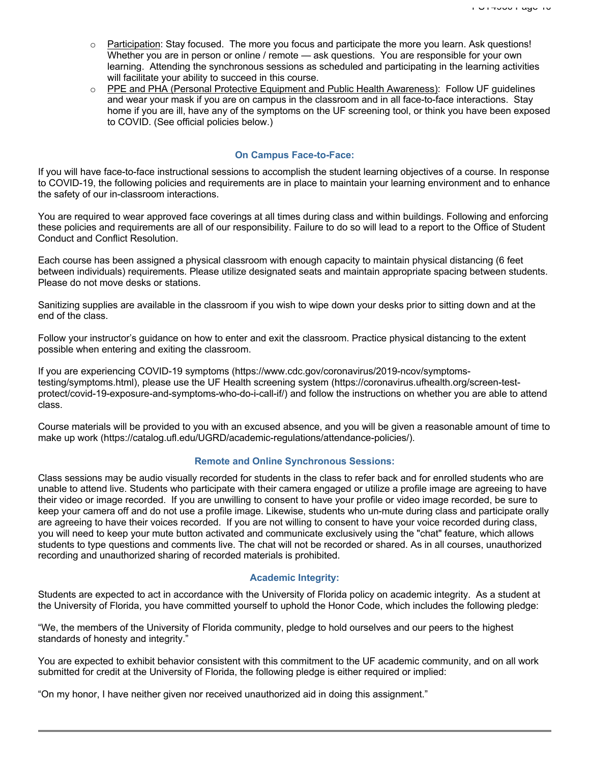- $\circ$  Participation: Stay focused. The more you focus and participate the more you learn. Ask questions! Whether you are in person or online / remote — ask questions. You are responsible for your own learning. Attending the synchronous sessions as scheduled and participating in the learning activities will facilitate your ability to succeed in this course.
- o PPE and PHA (Personal Protective Equipment and Public Health Awareness): Follow UF guidelines and wear your mask if you are on campus in the classroom and in all face-to-face interactions. Stay home if you are ill, have any of the symptoms on the UF screening tool, or think you have been exposed to COVID. (See official policies below.)

#### **On Campus Face-to-Face:**

If you will have face-to-face instructional sessions to accomplish the student learning objectives of a course. In response to COVID-19, the following policies and requirements are in place to maintain your learning environment and to enhance the safety of our in-classroom interactions.

You are required to wear approved face coverings at all times during class and within buildings. Following and enforcing these policies and requirements are all of our responsibility. Failure to do so will lead to a report to the Office of Student Conduct and Conflict Resolution.

Each course has been assigned a physical classroom with enough capacity to maintain physical distancing (6 feet between individuals) requirements. Please utilize designated seats and maintain appropriate spacing between students. Please do not move desks or stations.

Sanitizing supplies are available in the classroom if you wish to wipe down your desks prior to sitting down and at the end of the class.

Follow your instructor's guidance on how to enter and exit the classroom. Practice physical distancing to the extent possible when entering and exiting the classroom.

If you are experiencing COVID-19 symptoms (https://www.cdc.gov/coronavirus/2019-ncov/symptomstesting/symptoms.html), please use the UF Health screening system (https://coronavirus.ufhealth.org/screen-testprotect/covid-19-exposure-and-symptoms-who-do-i-call-if/) and follow the instructions on whether you are able to attend class.

Course materials will be provided to you with an excused absence, and you will be given a reasonable amount of time to make up work (https://catalog.ufl.edu/UGRD/academic-regulations/attendance-policies/).

### **Remote and Online Synchronous Sessions:**

Class sessions may be audio visually recorded for students in the class to refer back and for enrolled students who are unable to attend live. Students who participate with their camera engaged or utilize a profile image are agreeing to have their video or image recorded. If you are unwilling to consent to have your profile or video image recorded, be sure to keep your camera off and do not use a profile image. Likewise, students who un-mute during class and participate orally are agreeing to have their voices recorded. If you are not willing to consent to have your voice recorded during class, you will need to keep your mute button activated and communicate exclusively using the "chat" feature, which allows students to type questions and comments live. The chat will not be recorded or shared. As in all courses, unauthorized recording and unauthorized sharing of recorded materials is prohibited.

### **Academic Integrity:**

Students are expected to act in accordance with the University of Florida policy on academic integrity. As a student at the University of Florida, you have committed yourself to uphold the Honor Code, which includes the following pledge:

"We, the members of the University of Florida community, pledge to hold ourselves and our peers to the highest standards of honesty and integrity."

You are expected to exhibit behavior consistent with this commitment to the UF academic community, and on all work submitted for credit at the University of Florida, the following pledge is either required or implied:

"On my honor, I have neither given nor received unauthorized aid in doing this assignment."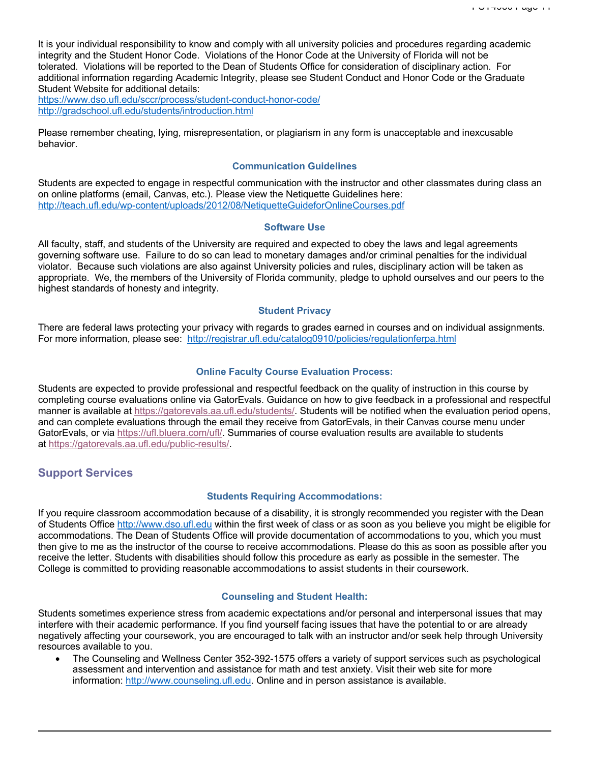It is your individual responsibility to know and comply with all university policies and procedures regarding academic integrity and the Student Honor Code. Violations of the Honor Code at the University of Florida will not be tolerated. Violations will be reported to the Dean of Students Office for consideration of disciplinary action. For additional information regarding Academic Integrity, please see Student Conduct and Honor Code or the Graduate Student Website for additional details:

https://www.dso.ufl.edu/sccr/process/student-conduct-honor-code/ http://gradschool.ufl.edu/students/introduction.html

Please remember cheating, lying, misrepresentation, or plagiarism in any form is unacceptable and inexcusable behavior.

#### **Communication Guidelines**

Students are expected to engage in respectful communication with the instructor and other classmates during class an on online platforms (email, Canvas, etc.). Please view the Netiquette Guidelines here: http://teach.ufl.edu/wp-content/uploads/2012/08/NetiquetteGuideforOnlineCourses.pdf

### **Software Use**

All faculty, staff, and students of the University are required and expected to obey the laws and legal agreements governing software use. Failure to do so can lead to monetary damages and/or criminal penalties for the individual violator. Because such violations are also against University policies and rules, disciplinary action will be taken as appropriate. We, the members of the University of Florida community, pledge to uphold ourselves and our peers to the highest standards of honesty and integrity.

#### **Student Privacy**

There are federal laws protecting your privacy with regards to grades earned in courses and on individual assignments. For more information, please see: http://registrar.ufl.edu/catalog0910/policies/regulationferpa.html

#### **Online Faculty Course Evaluation Process:**

Students are expected to provide professional and respectful feedback on the quality of instruction in this course by completing course evaluations online via GatorEvals. Guidance on how to give feedback in a professional and respectful manner is available at https://gatorevals.aa.ufl.edu/students/. Students will be notified when the evaluation period opens, and can complete evaluations through the email they receive from GatorEvals, in their Canvas course menu under GatorEvals, or via https://ufl.bluera.com/ufl/. Summaries of course evaluation results are available to students at https://gatorevals.aa.ufl.edu/public-results/.

# **Support Services**

### **Students Requiring Accommodations:**

If you require classroom accommodation because of a disability, it is strongly recommended you register with the Dean of Students Office http://www.dso.ufl.edu within the first week of class or as soon as you believe you might be eligible for accommodations. The Dean of Students Office will provide documentation of accommodations to you, which you must then give to me as the instructor of the course to receive accommodations. Please do this as soon as possible after you receive the letter. Students with disabilities should follow this procedure as early as possible in the semester. The College is committed to providing reasonable accommodations to assist students in their coursework.

### **Counseling and Student Health:**

Students sometimes experience stress from academic expectations and/or personal and interpersonal issues that may interfere with their academic performance. If you find yourself facing issues that have the potential to or are already negatively affecting your coursework, you are encouraged to talk with an instructor and/or seek help through University resources available to you.

• The Counseling and Wellness Center 352-392-1575 offers a variety of support services such as psychological assessment and intervention and assistance for math and test anxiety. Visit their web site for more information: http://www.counseling.ufl.edu. Online and in person assistance is available.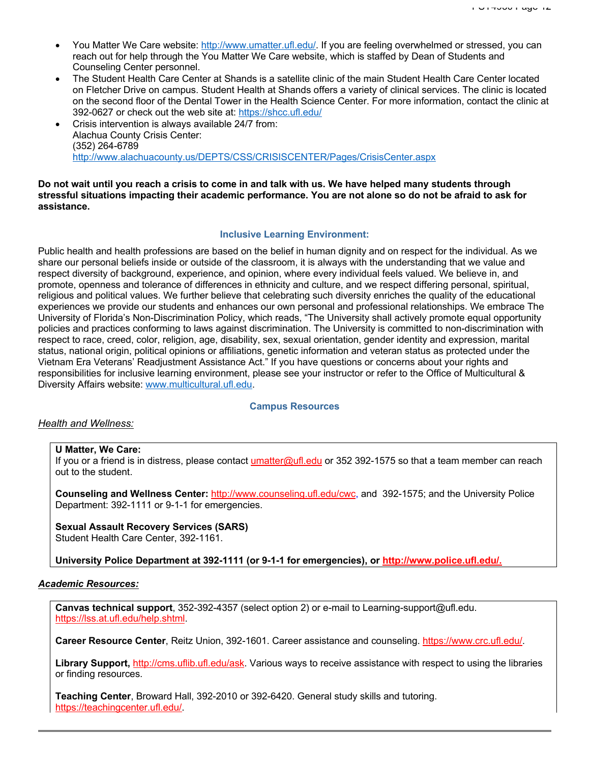- You Matter We Care website: http://www.umatter.ufl.edu/. If you are feeling overwhelmed or stressed, you can reach out for help through the You Matter We Care website, which is staffed by Dean of Students and Counseling Center personnel.
- The Student Health Care Center at Shands is a satellite clinic of the main Student Health Care Center located on Fletcher Drive on campus. Student Health at Shands offers a variety of clinical services. The clinic is located on the second floor of the Dental Tower in the Health Science Center. For more information, contact the clinic at 392-0627 or check out the web site at: https://shcc.ufl.edu/
- Crisis intervention is always available 24/7 from: Alachua County Crisis Center: (352) 264-6789 http://www.alachuacounty.us/DEPTS/CSS/CRISISCENTER/Pages/CrisisCenter.aspx

### **Do not wait until you reach a crisis to come in and talk with us. We have helped many students through stressful situations impacting their academic performance. You are not alone so do not be afraid to ask for assistance.**

### **Inclusive Learning Environment:**

Public health and health professions are based on the belief in human dignity and on respect for the individual. As we share our personal beliefs inside or outside of the classroom, it is always with the understanding that we value and respect diversity of background, experience, and opinion, where every individual feels valued. We believe in, and promote, openness and tolerance of differences in ethnicity and culture, and we respect differing personal, spiritual, religious and political values. We further believe that celebrating such diversity enriches the quality of the educational experiences we provide our students and enhances our own personal and professional relationships. We embrace The University of Florida's Non-Discrimination Policy, which reads, "The University shall actively promote equal opportunity policies and practices conforming to laws against discrimination. The University is committed to non-discrimination with respect to race, creed, color, religion, age, disability, sex, sexual orientation, gender identity and expression, marital status, national origin, political opinions or affiliations, genetic information and veteran status as protected under the Vietnam Era Veterans' Readjustment Assistance Act." If you have questions or concerns about your rights and responsibilities for inclusive learning environment, please see your instructor or refer to the Office of Multicultural & Diversity Affairs website: www.multicultural.ufl.edu.

### **Campus Resources**

### *Health and Wellness:*

#### **U Matter, We Care:**

If you or a friend is in distress, please contact umatter@ufl.edu or 352 392-1575 so that a team member can reach out to the student.

**Counseling and Wellness Center:** http://www.counseling.ufl.edu/cwc, and 392-1575; and the University Police Department: 392-1111 or 9-1-1 for emergencies.

# **Sexual Assault Recovery Services (SARS)**

Student Health Care Center, 392-1161.

**University Police Department at 392-1111 (or 9-1-1 for emergencies), or http://www.police.ufl.edu/.**

### *Academic Resources:*

**Canvas technical support**, 352-392-4357 (select option 2) or e-mail to Learning-support@ufl.edu. https://lss.at.ufl.edu/help.shtml.

**Career Resource Center**, Reitz Union, 392-1601. Career assistance and counseling. https://www.crc.ufl.edu/.

**Library Support,** http://cms.uflib.ufl.edu/ask. Various ways to receive assistance with respect to using the libraries or finding resources.

**Teaching Center**, Broward Hall, 392-2010 or 392-6420. General study skills and tutoring. https://teachingcenter.ufl.edu/.